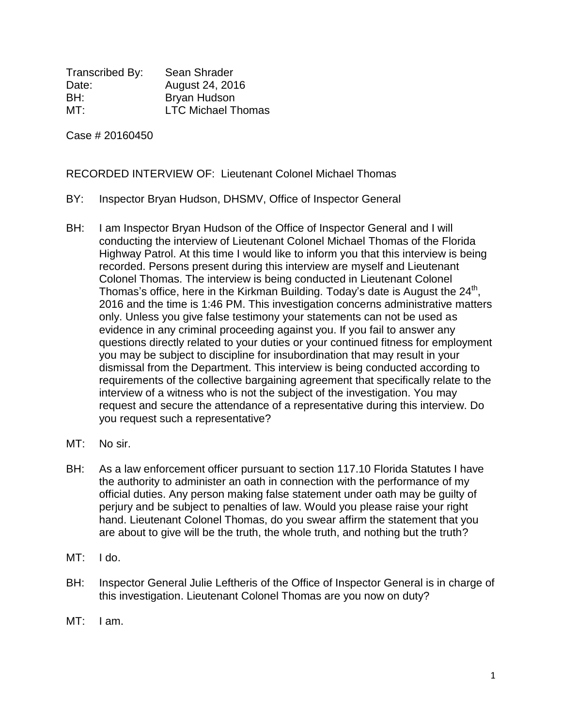Transcribed By: Sean Shrader Date: August 24, 2016 BH: Bryan Hudson MT: LTC Michael Thomas

Case # 20160450

RECORDED INTERVIEW OF: Lieutenant Colonel Michael Thomas

- BY: Inspector Bryan Hudson, DHSMV, Office of Inspector General
- BH: I am Inspector Bryan Hudson of the Office of Inspector General and I will conducting the interview of Lieutenant Colonel Michael Thomas of the Florida Highway Patrol. At this time I would like to inform you that this interview is being recorded. Persons present during this interview are myself and Lieutenant Colonel Thomas. The interview is being conducted in Lieutenant Colonel Thomas's office, here in the Kirkman Building. Today's date is August the  $24<sup>th</sup>$ , 2016 and the time is 1:46 PM. This investigation concerns administrative matters only. Unless you give false testimony your statements can not be used as evidence in any criminal proceeding against you. If you fail to answer any questions directly related to your duties or your continued fitness for employment you may be subject to discipline for insubordination that may result in your dismissal from the Department. This interview is being conducted according to requirements of the collective bargaining agreement that specifically relate to the interview of a witness who is not the subject of the investigation. You may request and secure the attendance of a representative during this interview. Do you request such a representative?
- MT: No sir.
- BH: As a law enforcement officer pursuant to section 117.10 Florida Statutes I have the authority to administer an oath in connection with the performance of my official duties. Any person making false statement under oath may be guilty of perjury and be subject to penalties of law. Would you please raise your right hand. Lieutenant Colonel Thomas, do you swear affirm the statement that you are about to give will be the truth, the whole truth, and nothing but the truth?
- MT: I do.
- BH: Inspector General Julie Leftheris of the Office of Inspector General is in charge of this investigation. Lieutenant Colonel Thomas are you now on duty?
- MT: I am.